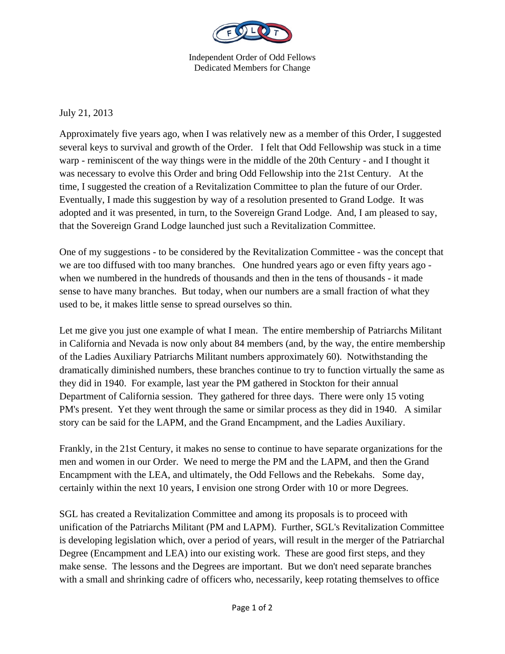

Independent Order of Odd Fellows Dedicated Members for Change

July 21, 2013

Approximately five years ago, when I was relatively new as a member of this Order, I suggested several keys to survival and growth of the Order. I felt that Odd Fellowship was stuck in a time warp - reminiscent of the way things were in the middle of the 20th Century - and I thought it was necessary to evolve this Order and bring Odd Fellowship into the 21st Century. At the time, I suggested the creation of a Revitalization Committee to plan the future of our Order. Eventually, I made this suggestion by way of a resolution presented to Grand Lodge. It was adopted and it was presented, in turn, to the Sovereign Grand Lodge. And, I am pleased to say, that the Sovereign Grand Lodge launched just such a Revitalization Committee.

One of my suggestions - to be considered by the Revitalization Committee - was the concept that we are too diffused with too many branches. One hundred years ago or even fifty years ago when we numbered in the hundreds of thousands and then in the tens of thousands - it made sense to have many branches. But today, when our numbers are a small fraction of what they used to be, it makes little sense to spread ourselves so thin.

Let me give you just one example of what I mean. The entire membership of Patriarchs Militant in California and Nevada is now only about 84 members (and, by the way, the entire membership of the Ladies Auxiliary Patriarchs Militant numbers approximately 60). Notwithstanding the dramatically diminished numbers, these branches continue to try to function virtually the same as they did in 1940. For example, last year the PM gathered in Stockton for their annual Department of California session. They gathered for three days. There were only 15 voting PM's present. Yet they went through the same or similar process as they did in 1940. A similar story can be said for the LAPM, and the Grand Encampment, and the Ladies Auxiliary.

Frankly, in the 21st Century, it makes no sense to continue to have separate organizations for the men and women in our Order. We need to merge the PM and the LAPM, and then the Grand Encampment with the LEA, and ultimately, the Odd Fellows and the Rebekahs. Some day, certainly within the next 10 years, I envision one strong Order with 10 or more Degrees.

SGL has created a Revitalization Committee and among its proposals is to proceed with unification of the Patriarchs Militant (PM and LAPM). Further, SGL's Revitalization Committee is developing legislation which, over a period of years, will result in the merger of the Patriarchal Degree (Encampment and LEA) into our existing work. These are good first steps, and they make sense. The lessons and the Degrees are important. But we don't need separate branches with a small and shrinking cadre of officers who, necessarily, keep rotating themselves to office